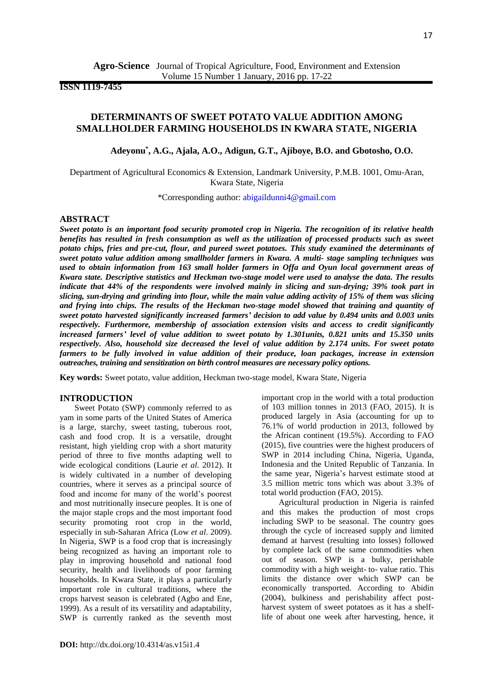## **ISSN 1119-7455**

# **DETERMINANTS OF SWEET POTATO VALUE ADDITION AMONG SMALLHOLDER FARMING HOUSEHOLDS IN KWARA STATE, NIGERIA**

**Adeyonu\* , A.G., Ajala, A.O., Adigun, G.T., Ajiboye, B.O. and Gbotosho, O.O.**

Department of Agricultural Economics & Extension, Landmark University, P.M.B. 1001, Omu-Aran, Kwara State, Nigeria

\*Corresponding author: [abigaildunni4@gmail.com](mailto:abigaildunni4@gmail.com)

### **ABSTRACT**

*Sweet potato is an important food security promoted crop in Nigeria. The recognition of its relative health benefits has resulted in fresh consumption as well as the utilization of processed products such as sweet potato chips, fries and pre-cut, flour, and pureed sweet potatoes. This study examined the determinants of sweet potato value addition among smallholder farmers in Kwara. A multi- stage sampling techniques was used to obtain information from 163 small holder farmers in Offa and Oyun local government areas of Kwara state. Descriptive statistics and Heckman two-stage model were used to analyse the data. The results indicate that 44% of the respondents were involved mainly in slicing and sun-drying; 39% took part in slicing, sun-drying and grinding into flour, while the main value adding activity of 15% of them was slicing and frying into chips. The results of the Heckman two-stage model showed that training and quantity of sweet potato harvested significantly increased farmers' decision to add value by 0.494 units and 0.003 units respectively. Furthermore, membership of association extension visits and access to credit significantly increased farmers' level of value addition to sweet potato by 1.301units, 0.821 units and 15.350 units respectively. Also, household size decreased the level of value addition by 2.174 units. For sweet potato farmers to be fully involved in value addition of their produce, loan packages, increase in extension outreaches, training and sensitization on birth control measures are necessary policy options.*

**Key words:** Sweet potato, value addition, Heckman two-stage model, Kwara State, Nigeria

## **INTRODUCTION**

Sweet Potato (SWP) commonly referred to as yam in some parts of the United States of America is a large, starchy, sweet tasting, tuberous root, cash and food crop. It is a versatile, drought resistant, high yielding crop with a short maturity period of three to five months adapting well to wide ecological conditions (Laurie *et al*. 2012). It is widely cultivated in a number of developing countries, where it serves as a principal source of food and income for many of the world's poorest and most nutritionally insecure peoples. It is one of the major staple crops and the most important food security promoting root crop in the world, especially in sub-Saharan Africa (Low *et al*. 2009). In Nigeria, SWP is a food crop that is increasingly being recognized as having an important role to play in improving household and national food security, health and livelihoods of poor farming households. In Kwara State, it plays a particularly important role in cultural traditions, where the crops harvest season is celebrated (Agbo and Ene, 1999). As a result of its versatility and adaptability, SWP is currently ranked as the seventh most

important crop in the world with a total production of 103 million tonnes in 2013 (FAO, 2015). It is produced largely in Asia (accounting for up to 76.1% of world production in 2013, followed by the African continent (19.5%). According to FAO (2015), five countries were the highest producers of SWP in 2014 including China, Nigeria, Uganda, Indonesia and the United Republic of Tanzania. In the same year, Nigeria's harvest estimate stood at 3.5 million metric tons which was about 3.3% of total world production (FAO, 2015).

Agricultural production in Nigeria is rainfed and this makes the production of most crops including SWP to be seasonal. The country goes through the cycle of increased supply and limited demand at harvest (resulting into losses) followed by complete lack of the same commodities when out of season. SWP is a bulky, perishable commodity with a high weight- to- value ratio. This limits the distance over which SWP can be economically transported. According to Abidin (2004), bulkiness and perishability affect postharvest system of sweet potatoes as it has a shelflife of about one week after harvesting, hence, it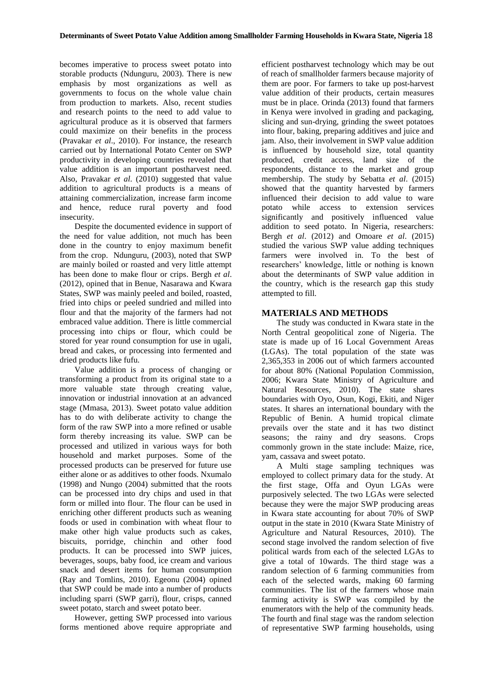becomes imperative to process sweet potato into storable products (Ndunguru, 2003). There is new emphasis by most organizations as well as governments to focus on the whole value chain from production to markets. Also, recent studies and research points to the need to add value to agricultural produce as it is observed that farmers could maximize on their benefits in the process (Pravakar *et al*., 2010). For instance, the research carried out by International Potato Center on SWP productivity in developing countries revealed that value addition is an important postharvest need. Also, Pravakar *et al*. (2010) suggested that value addition to agricultural products is a means of attaining commercialization, increase farm income and hence, reduce rural poverty and food insecurity.

Despite the documented evidence in support of the need for value addition, not much has been done in the country to enjoy maximum benefit from the crop. Ndunguru, (2003), noted that SWP are mainly boiled or roasted and very little attempt has been done to make flour or crips. Bergh *et al*. (2012), opined that in Benue, Nasarawa and Kwara States, SWP was mainly peeled and boiled, roasted, fried into chips or peeled sundried and milled into flour and that the majority of the farmers had not embraced value addition. There is little commercial processing into chips or flour, which could be stored for year round consumption for use in ugali, bread and cakes, or processing into fermented and dried products like fufu.

Value addition is a process of changing or transforming a product from its original state to a more valuable state through creating value, innovation or industrial innovation at an advanced stage (Mmasa, 2013). Sweet potato value addition has to do with deliberate activity to change the form of the raw SWP into a more refined or usable form thereby increasing its value. SWP can be processed and utilized in various ways for both household and market purposes. Some of the processed products can be preserved for future use either alone or as additives to other foods. Nxumalo (1998) and Nungo (2004) submitted that the roots can be processed into dry chips and used in that form or milled into flour. The flour can be used in enriching other different products such as weaning foods or used in combination with wheat flour to make other high value products such as cakes, biscuits, porridge, chinchin and other food products. It can be processed into SWP juices, beverages, soups, baby food, ice cream and various snack and desert items for human consumption (Ray and Tomlins, 2010). Egeonu (2004) opined that SWP could be made into a number of products including sparri (SWP garri), flour, crisps, canned sweet potato, starch and sweet potato beer.

However, getting SWP processed into various forms mentioned above require appropriate and efficient postharvest technology which may be out of reach of smallholder farmers because majority of them are poor. For farmers to take up post-harvest value addition of their products, certain measures must be in place. Orinda (2013) found that farmers in Kenya were involved in grading and packaging, slicing and sun-drying, grinding the sweet potatoes into flour, baking, preparing additives and juice and jam. Also, their involvement in SWP value addition is influenced by household size, total quantity produced, credit access, land size of the respondents, distance to the market and group membership. The study by Sebatta *et al*. (2015) showed that the quantity harvested by farmers influenced their decision to add value to ware potato while access to extension services significantly and positively influenced value addition to seed potato. In Nigeria, researchers: Bergh *et al*. (2012) and Omoare *et al*. (2015) studied the various SWP value adding techniques farmers were involved in. To the best of researchers' knowledge, little or nothing is known about the determinants of SWP value addition in the country, which is the research gap this study attempted to fill.

## **MATERIALS AND METHODS**

The study was conducted in Kwara state in the North Central geopolitical zone of Nigeria. The state is made up of 16 Local Government Areas (LGAs). The total population of the state was 2,365,353 in 2006 out of which farmers accounted for about 80% (National Population Commission, 2006; Kwara State Ministry of Agriculture and Natural Resources, 2010). The state shares boundaries with Oyo, Osun, Kogi, Ekiti, and Niger states. It shares an international boundary with the Republic of Benin. A humid tropical climate prevails over the state and it has two distinct seasons; the rainy and dry seasons. Crops commonly grown in the state include: Maize, rice, yam, cassava and sweet potato.

A Multi stage sampling techniques was employed to collect primary data for the study. At the first stage, Offa and Oyun LGAs were purposively selected. The two LGAs were selected because they were the major SWP producing areas in Kwara state accounting for about 70% of SWP output in the state in 2010 (Kwara State Ministry of Agriculture and Natural Resources, 2010). The second stage involved the random selection of five political wards from each of the selected LGAs to give a total of 10wards. The third stage was a random selection of 6 farming communities from each of the selected wards, making 60 farming communities. The list of the farmers whose main farming activity is SWP was compiled by the enumerators with the help of the community heads. The fourth and final stage was the random selection of representative SWP farming households, using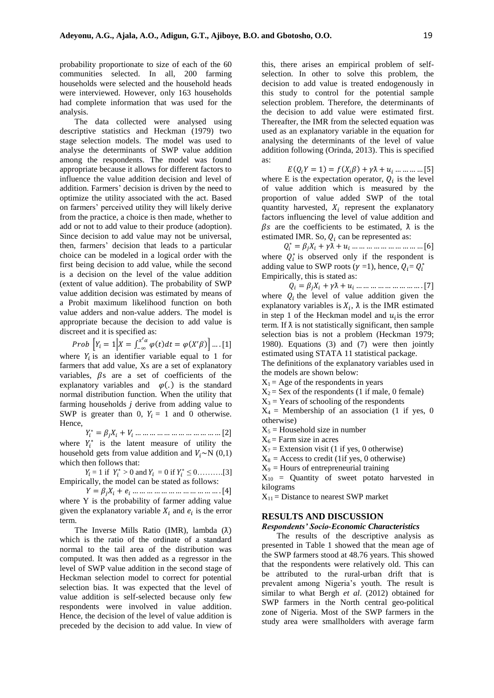probability proportionate to size of each of the 60 communities selected. In all, 200 farming households were selected and the household heads were interviewed. However, only 163 households had complete information that was used for the analysis.

The data collected were analysed using descriptive statistics and Heckman (1979) two stage selection models. The model was used to analyse the determinants of SWP value addition among the respondents. The model was found appropriate because it allows for different factors to influence the value addition decision and level of addition. Farmers' decision is driven by the need to optimize the utility associated with the act. Based on farmers' perceived utility they will likely derive from the practice, a choice is then made, whether to add or not to add value to their produce (adoption). Since decision to add value may not be universal, then, farmers' decision that leads to a particular choice can be modeled in a logical order with the first being decision to add value, while the second is a decision on the level of the value addition (extent of value addition). The probability of SWP value addition decision was estimated by means of a Probit maximum likelihood function on both value adders and non-value adders. The model is appropriate because the decision to add value is discreet and it is specified as:

Prob  $\left[ Y_i = 1 \right] X = \int_{-\infty}^{x' \alpha} \varphi(t) dt$  $\int_{-\infty}^{x=a} \varphi(t)dt = \varphi(X'\beta)\big] \dots [1]$ where  $Y_i$  is an identifier variable equal to 1 for farmers that add value, Xs are a set of explanatory variables,  $\beta$ s are a set of coefficients of the explanatory variables and  $\varphi(.)$  is the standard normal distribution function. When the utility that farming households *j* derive from adding value to SWP is greater than 0,  $Y_i = 1$  and 0 otherwise. Hence,

 $Y_i^* = \beta_j X_i + V_i \dots \dots \dots \dots \dots \dots \dots \dots \dots \dots [2]$ where  $Y_i^*$  is the latent measure of utility the household gets from value addition and  $V_i \sim N(0,1)$ which then follows that:

 $Y_i = 1$  if  $Y_i^* > 0$  and  $Y_i = 0$  if  $Y_i^* \le 0$ ...........[3] Empirically, the model can be stated as follows:

 $Y = \beta_j X_i + e_i \dots \dots \dots \dots \dots \dots \dots \dots \dots \dots \dots \, [4]$ where Y is the probability of farmer adding value given the explanatory variable  $X_i$  and  $e_i$  is the error term.

The Inverse Mills Ratio (IMR), lambda  $(\lambda)$ which is the ratio of the ordinate of a standard normal to the tail area of the distribution was computed. It was then added as a regressor in the level of SWP value addition in the second stage of Heckman selection model to correct for potential selection bias. It was expected that the level of value addition is self-selected because only few respondents were involved in value addition. Hence, the decision of the level of value addition is preceded by the decision to add value. In view of this, there arises an empirical problem of selfselection. In other to solve this problem, the decision to add value is treated endogenously in this study to control for the potential sample selection problem. Therefore, the determinants of the decision to add value were estimated first. Thereafter, the IMR from the selected equation was used as an explanatory variable in the equation for analysing the determinants of the level of value addition following (Orinda, 2013). This is specified as:

 $E(Q_i Y = 1) = f(X_i \beta) + \gamma \lambda + u_i \dots \dots \dots \dots [5]$ where E is the expectation operator,  $Q_i$  is the level of value addition which is measured by the proportion of value added SWP of the total quantity harvested,  $X_i$  represent the explanatory factors influencing the level of value addition and  $\beta$ s are the coefficients to be estimated,  $\lambda$  is the estimated IMR. So,  $Q_i$  can be represented as:

 <sup>∗</sup> = + ƛ + … … … … … … … … … … [6] where  $Q_i^*$  is observed only if the respondent is adding value to SWP roots ( $\gamma$  =1), hence,  $Q_i = Q_i^*$ Empirically, this is stated as:

 $Q_i = \beta_i X_i + \gamma \lambda + u_i \dots \dots \dots \dots \dots \dots \dots \dots \tag{7}$ where  $Q_i$  the level of value addition given the explanatory variables is  $X_i$ ,  $\lambda$  is the IMR estimated in step 1 of the Heckman model and  $u_i$  is the error term. If  $\lambda$  is not statistically significant, then sample selection bias is not a problem (Heckman 1979; 1980). Equations (3) and (7) were then jointly estimated using STATA 11 statistical package. The definitions of the explanatory variables used in

the models are shown below:

 $X_1$  = Age of the respondents in years

 $X_2$  = Sex of the respondents (1 if male, 0 female)

 $X_3$  = Years of schooling of the respondents

 $X_4$  = Membership of an association (1 if yes, 0 otherwise)

 $X_5$  = Household size in number

 $X_6$  = Farm size in acres

 $X_7$  = Extension visit (1 if yes, 0 otherwise)

 $X_8$  = Access to credit (1if yes, 0 otherwise)

 $X<sub>9</sub>$  = Hours of entrepreneurial training

 $X_{10}$  = Quantity of sweet potato harvested in kilograms

 $X_{11}$  = Distance to nearest SWP market

### **RESULTS AND DISCUSSION**

### *Respondents' Socio-Economic Characteristics*

The results of the descriptive analysis as presented in Table 1 showed that the mean age of the SWP farmers stood at 48.76 years. This showed that the respondents were relatively old. This can be attributed to the rural-urban drift that is prevalent among Nigeria's youth. The result is similar to what Bergh *et al*. (2012) obtained for SWP farmers in the North central geo-political zone of Nigeria. Most of the SWP farmers in the study area were smallholders with average farm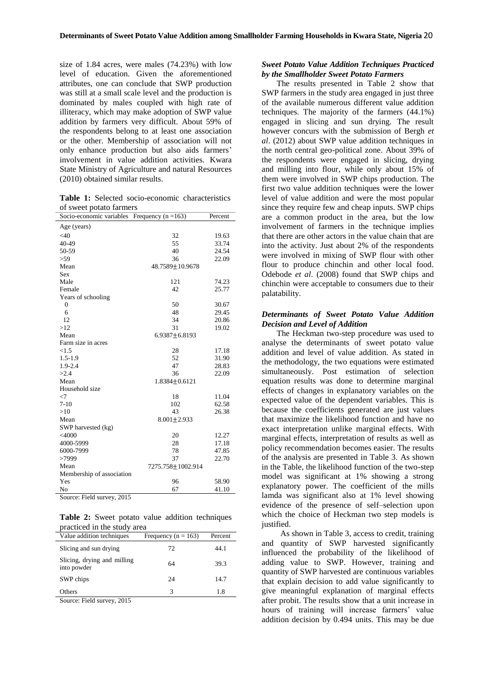size of 1.84 acres, were males (74.23%) with low level of education. Given the aforementioned attributes, one can conclude that SWP production was still at a small scale level and the production is dominated by males coupled with high rate of illiteracy, which may make adoption of SWP value addition by farmers very difficult. About 59% of the respondents belong to at least one association or the other. Membership of association will not only enhance production but also aids farmers' involvement in value addition activities. Kwara State Ministry of Agriculture and natural Resources (2010) obtained similar results.

**Table 1:** Selected socio-economic characteristics of sweet potato farmers

| Socio-economic variables   | Frequency ( $n = 163$ ) | Percent |  |  |
|----------------------------|-------------------------|---------|--|--|
| Age (years)                |                         |         |  |  |
| <40                        | 32                      | 19.63   |  |  |
| 40-49                      | 55                      | 33.74   |  |  |
| 50-59                      | 40                      | 24.54   |  |  |
| >59                        | 36                      | 22.09   |  |  |
| Mean                       | 48.7589±10.9678         |         |  |  |
| <b>Sex</b>                 |                         |         |  |  |
| Male                       | 121                     | 74.23   |  |  |
| Female                     | 42.                     | 25.77   |  |  |
| Years of schooling         |                         |         |  |  |
| $\overline{0}$             | 50                      | 30.67   |  |  |
| 6                          | 48                      | 29.45   |  |  |
| 12                         | 34                      | 20.86   |  |  |
| >12                        | 31                      | 19.02   |  |  |
| Mean                       | $6.9387 + 6.8193$       |         |  |  |
| Farm size in acres         |                         |         |  |  |
| $<1.5$                     | 28                      | 17.18   |  |  |
| $1.5 - 1.9$                | 52                      | 31.90   |  |  |
| 1.9-2.4                    | 47                      | 28.83   |  |  |
| >2.4                       | 36                      | 22.09   |  |  |
| Mean                       | $1.8384 \pm 0.6121$     |         |  |  |
| Household size             |                         |         |  |  |
| $\leq$ 7                   | 18                      | 11.04   |  |  |
| $7-10$                     | 102                     | 62.58   |  |  |
| >10                        | 43                      | 26.38   |  |  |
| Mean                       | $8.001 \pm 2.933$       |         |  |  |
| SWP harvested (kg)         |                         |         |  |  |
| $<$ 4000                   | 20                      | 12.27   |  |  |
| 4000-5999                  | 28                      | 17.18   |  |  |
| 6000-7999                  | 78                      | 47.85   |  |  |
| >7999                      | 37                      | 22.70   |  |  |
| Mean                       | 7275.758±1002.914       |         |  |  |
| Membership of association  |                         |         |  |  |
| Yes                        | 96                      | 58.90   |  |  |
| No                         | 67                      | 41.10   |  |  |
| Source: Field survey, 2015 |                         |         |  |  |

**Table 2:** Sweet potato value addition techniques practiced in the study area

| Value addition techniques                  | Frequency ( $n = 163$ ) | Percent |
|--------------------------------------------|-------------------------|---------|
| Slicing and sun drying                     | 72                      | 44.1    |
| Slicing, drying and milling<br>into powder | 64                      | 39.3    |
| SWP chips                                  | 24                      | 14.7    |
| Others                                     | 3                       | 1.8     |
| $C = \Gamma 11$ $0.15$                     |                         |         |

Source: Field survey, 2015

### *Sweet Potato Value Addition Techniques Practiced by the Smallholder Sweet Potato Farmers*

The results presented in Table 2 show that SWP farmers in the study area engaged in just three of the available numerous different value addition techniques. The majority of the farmers (44.1%) engaged in slicing and sun drying. The result however concurs with the submission of Bergh *et al*. (2012) about SWP value addition techniques in the north central geo-political zone. About 39% of the respondents were engaged in slicing, drying and milling into flour, while only about 15% of them were involved in SWP chips production. The first two value addition techniques were the lower level of value addition and were the most popular since they require few and cheap inputs. SWP chips are a common product in the area, but the low involvement of farmers in the technique implies that there are other actors in the value chain that are into the activity. Just about 2% of the respondents were involved in mixing of SWP flour with other flour to produce chinchin and other local food. Odebode *et al*. (2008) found that SWP chips and chinchin were acceptable to consumers due to their palatability.

## *Determinants of Sweet Potato Value Addition Decision and Level of Addition*

The Heckman two-step procedure was used to analyse the determinants of sweet potato value addition and level of value addition. As stated in the methodology, the two equations were estimated simultaneously. Post estimation of selection equation results was done to determine marginal effects of changes in explanatory variables on the expected value of the dependent variables. This is because the coefficients generated are just values that maximize the likelihood function and have no exact interpretation unlike marginal effects. With marginal effects, interpretation of results as well as policy recommendation becomes easier. The results of the analysis are presented in Table 3. As shown in the Table, the likelihood function of the two-step model was significant at 1% showing a strong explanatory power. The coefficient of the mills lamda was significant also at 1% level showing evidence of the presence of self–selection upon which the choice of Heckman two step models is justified.

As shown in Table 3, access to credit, training and quantity of SWP harvested significantly influenced the probability of the likelihood of adding value to SWP. However, training and quantity of SWP harvested are continuous variables that explain decision to add value significantly to give meaningful explanation of marginal effects after probit. The results show that a unit increase in hours of training will increase farmers' value addition decision by 0.494 units. This may be due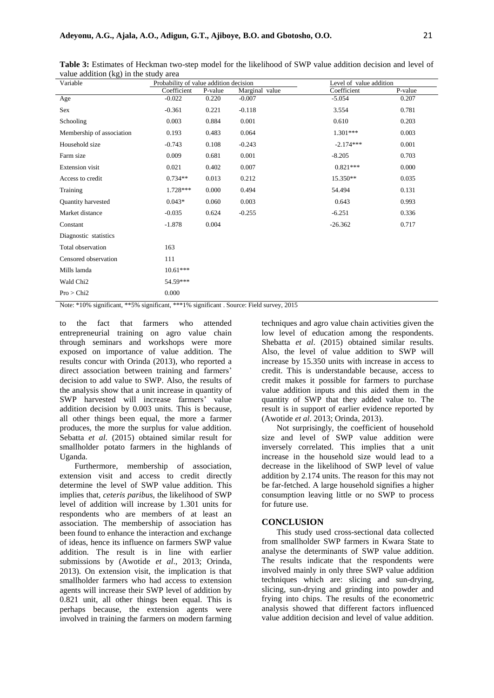| Variable                  |             | Probability of value addition decision |                |             | Level of value addition |  |
|---------------------------|-------------|----------------------------------------|----------------|-------------|-------------------------|--|
|                           | Coefficient | P-value                                | Marginal value | Coefficient | P-value                 |  |
| Age                       | $-0.022$    | 0.220                                  | $-0.007$       | $-5.054$    | 0.207                   |  |
| Sex                       | $-0.361$    | 0.221                                  | $-0.118$       | 3.554       | 0.781                   |  |
| Schooling                 | 0.003       | 0.884                                  | 0.001          | 0.610       | 0.203                   |  |
| Membership of association | 0.193       | 0.483                                  | 0.064          | $1.301***$  | 0.003                   |  |
| Household size            | $-0.743$    | 0.108                                  | $-0.243$       | $-2.174***$ | 0.001                   |  |
| Farm size                 | 0.009       | 0.681                                  | 0.001          | $-8.205$    | 0.703                   |  |
| <b>Extension</b> visit    | 0.021       | 0.402                                  | 0.007          | $0.821***$  | 0.000                   |  |
| Access to credit          | $0.734**$   | 0.013                                  | 0.212          | 15.350**    | 0.035                   |  |
| Training                  | 1.728***    | 0.000                                  | 0.494          | 54.494      | 0.131                   |  |
| Quantity harvested        | $0.043*$    | 0.060                                  | 0.003          | 0.643       | 0.993                   |  |
| Market distance           | $-0.035$    | 0.624                                  | $-0.255$       | $-6.251$    | 0.336                   |  |
| Constant                  | $-1.878$    | 0.004                                  |                | $-26.362$   | 0.717                   |  |
| Diagnostic statistics     |             |                                        |                |             |                         |  |
| Total observation         | 163         |                                        |                |             |                         |  |
| Censored observation      | 111         |                                        |                |             |                         |  |
| Mills lamda               | $10.61***$  |                                        |                |             |                         |  |
| Wald Chi <sub>2</sub>     | 54.59***    |                                        |                |             |                         |  |
| Pro > Chi2                | 0.000       |                                        |                |             |                         |  |

**Table 3:** Estimates of Heckman two-step model for the likelihood of SWP value addition decision and level of value addition (kg) in the study area

Note: \*10% significant, \*\*5% significant, \*\*\*1% significant . Source: Field survey, 2015

to the fact that farmers who attended entrepreneurial training on agro value chain through seminars and workshops were more exposed on importance of value addition. The results concur with Orinda (2013), who reported a direct association between training and farmers' decision to add value to SWP. Also, the results of the analysis show that a unit increase in quantity of SWP harvested will increase farmers' value addition decision by 0.003 units. This is because, all other things been equal, the more a farmer produces, the more the surplus for value addition. Sebatta *et al*. (2015) obtained similar result for smallholder potato farmers in the highlands of Uganda.

Furthermore, membership of association, extension visit and access to credit directly determine the level of SWP value addition. This implies that, *ceteris paribus*, the likelihood of SWP level of addition will increase by 1.301 units for respondents who are members of at least an association. The membership of association has been found to enhance the interaction and exchange of ideas, hence its influence on farmers SWP value addition. The result is in line with earlier submissions by (Awotide *et al*., 2013; Orinda, 2013). On extension visit, the implication is that smallholder farmers who had access to extension agents will increase their SWP level of addition by 0.821 unit, all other things been equal. This is perhaps because, the extension agents were involved in training the farmers on modern farming

techniques and agro value chain activities given the low level of education among the respondents. Shebatta *et al*. (2015) obtained similar results. Also, the level of value addition to SWP will increase by 15.350 units with increase in access to credit. This is understandable because, access to credit makes it possible for farmers to purchase value addition inputs and this aided them in the quantity of SWP that they added value to. The result is in support of earlier evidence reported by (Awotide *et al*. 2013; Orinda, 2013).

Not surprisingly, the coefficient of household size and level of SWP value addition were inversely correlated. This implies that a unit increase in the household size would lead to a decrease in the likelihood of SWP level of value addition by 2.174 units. The reason for this may not be far-fetched. A large household signifies a higher consumption leaving little or no SWP to process for future use.

#### **CONCLUSION**

This study used cross-sectional data collected from smallholder SWP farmers in Kwara State to analyse the determinants of SWP value addition. The results indicate that the respondents were involved mainly in only three SWP value addition techniques which are: slicing and sun-drying, slicing, sun-drying and grinding into powder and frying into chips. The results of the econometric analysis showed that different factors influenced value addition decision and level of value addition.